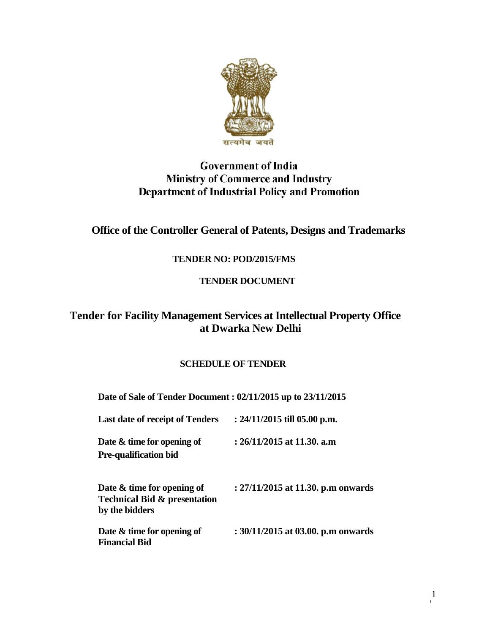

# **Government of India Ministry of Commerce and Industry Department of Industrial Policy and Promotion**

# **Office of the Controller General of Patents, Designs and Trademarks**

## **TENDER NO: POD/2015/FMS**

## **TENDER DOCUMENT**

# **Tender for Facility Management Services at Intellectual Property Office at Dwarka New Delhi**

## **SCHEDULE OF TENDER**

**Date of Sale of Tender Document : 02/11/2015 up to 23/11/2015**

| Last date of receipt of Tenders                                                            | : $24/11/2015$ till 05.00 p.m.     |
|--------------------------------------------------------------------------------------------|------------------------------------|
| Date $\&$ time for opening of<br><b>Pre-qualification bid</b>                              | $: 26/11/2015$ at 11.30. a.m       |
| Date $\&$ time for opening of<br><b>Technical Bid &amp; presentation</b><br>by the bidders | : 27/11/2015 at 11.30. p.m onwards |
| Date $\&$ time for opening of<br><b>Financial Bid</b>                                      | : 30/11/2015 at 03.00. p.m onwards |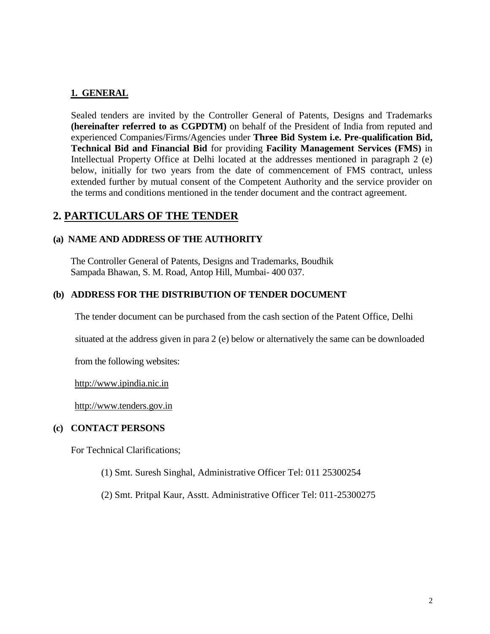### **1. GENERAL**

Sealed tenders are invited by the Controller General of Patents, Designs and Trademarks **(hereinafter referred to as CGPDTM)** on behalf of the President of India from reputed and experienced Companies/Firms/Agencies under **Three Bid System i.e. Pre-qualification Bid, Technical Bid and Financial Bid** for providing **Facility Management Services (FMS)** in Intellectual Property Office at Delhi located at the addresses mentioned in paragraph 2 (e) below, initially for two years from the date of commencement of FMS contract, unless extended further by mutual consent of the Competent Authority and the service provider on the terms and conditions mentioned in the tender document and the contract agreement.

## **2. PARTICULARS OF THE TENDER**

#### **(a) NAME AND ADDRESS OF THE AUTHORITY**

The Controller General of Patents, Designs and Trademarks, Boudhik Sampada Bhawan, S. M. Road, Antop Hill, Mumbai- 400 037.

#### **(b) ADDRESS FOR THE DISTRIBUTION OF TENDER DOCUMENT**

The tender document can be purchased from the cash section of the Patent Office, Delhi

situated at the address given in para 2 (e) below or alternatively the same can be downloaded

from the following websites:

[http://www.ipindia.nic.in](http://www.ipindia.nic.in/)

[http://www.tenders.gov.in](http://www.tenders.gov.in/)

#### **(c) CONTACT PERSONS**

For Technical Clarifications;

- (1) Smt. Suresh Singhal, Administrative Officer Tel: 011 25300254
- (2) Smt. Pritpal Kaur, Asstt. Administrative Officer Tel: 011-25300275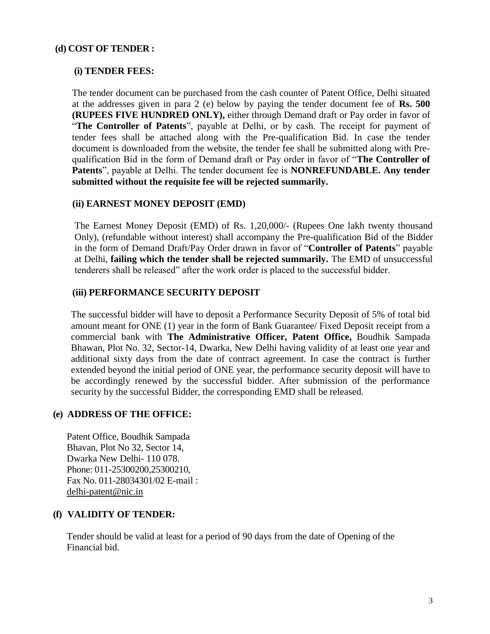### **(d) COST OF TENDER :**

#### **(i) TENDER FEES:**

The tender document can be purchased from the cash counter of Patent Office, Delhi situated at the addresses given in para 2 (e) below by paying the tender document fee of **Rs. 500 (RUPEES FIVE HUNDRED ONLY),** either through Demand draft or Pay order in favor of "**The Controller of Patents**", payable at Delhi, or by cash. The receipt for payment of tender fees shall be attached along with the Pre-qualification Bid. In case the tender document is downloaded from the website, the tender fee shall be submitted along with Prequalification Bid in the form of Demand draft or Pay order in favor of "**The Controller of Patents**", payable at Delhi. The tender document fee is **NONREFUNDABLE. Any tender submitted without the requisite fee will be rejected summarily.**

#### **(ii) EARNEST MONEY DEPOSIT (EMD)**

The Earnest Money Deposit (EMD) of Rs. 1,20,000/- (Rupees One lakh twenty thousand Only), (refundable without interest) shall accompany the Pre-qualification Bid of the Bidder in the form of Demand Draft/Pay Order drawn in favor of "**Controller of Patents**" payable at Delhi, **failing which the tender shall be rejected summarily.** The EMD of unsuccessful tenderers shall be released" after the work order is placed to the successful bidder.

#### **(iii) PERFORMANCE SECURITY DEPOSIT**

The successful bidder will have to deposit a Performance Security Deposit of 5% of total bid amount meant for ONE (1) year in the form of Bank Guarantee/ Fixed Deposit receipt from a commercial bank with **The Administrative Officer, Patent Office,** Boudhik Sampada Bhawan, Plot No. 32, Sector-14, Dwarka, New Delhi having validity of at least one year and additional sixty days from the date of contract agreement. In case the contract is further extended beyond the initial period of ONE year, the performance security deposit will have to be accordingly renewed by the successful bidder. After submission of the performance security by the successful Bidder, the corresponding EMD shall be released.

### **(e) ADDRESS OF THE OFFICE:**

Patent Office, Boudhik Sampada Bhavan, Plot No 32, Sector 14, Dwarka New Delhi- 110 078. Phone: 011-25300200,25300210, Fax No. 011-28034301/02 E-mail : [delhi-patent@nic.in](mailto:delhi-patent@nic.in)

#### **(f) VALIDITY OF TENDER:**

Tender should be valid at least for a period of 90 days from the date of Opening of the Financial bid.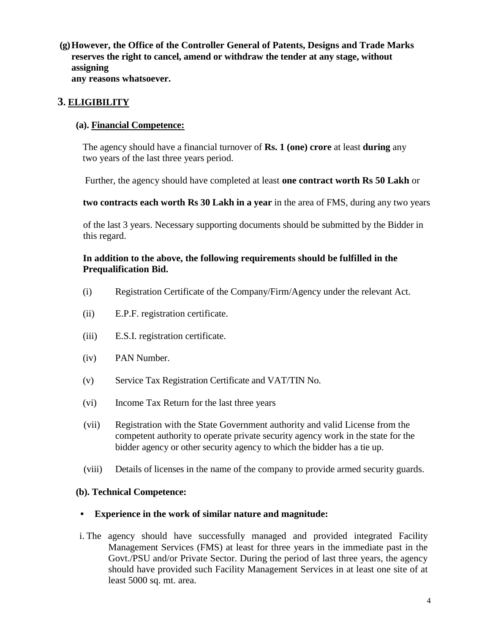**(g)However, the Office of the Controller General of Patents, Designs and Trade Marks reserves the right to cancel, amend or withdraw the tender at any stage, without assigning any reasons whatsoever.**

## **3. ELIGIBILITY**

### **(a). Financial Competence:**

The agency should have a financial turnover of **Rs. 1 (one) crore** at least **during** any two years of the last three years period.

Further, the agency should have completed at least **one contract worth Rs 50 Lakh** or

**two contracts each worth Rs 30 Lakh in a year** in the area of FMS, during any two years

of the last 3 years. Necessary supporting documents should be submitted by the Bidder in this regard.

#### **In addition to the above, the following requirements should be fulfilled in the Prequalification Bid.**

- (i) Registration Certificate of the Company/Firm/Agency under the relevant Act.
- (ii) E.P.F. registration certificate.
- (iii) E.S.I. registration certificate.
- (iv) PAN Number.
- (v) Service Tax Registration Certificate and VAT/TIN No.
- (vi) Income Tax Return for the last three years
- (vii) Registration with the State Government authority and valid License from the competent authority to operate private security agency work in the state for the bidder agency or other security agency to which the bidder has a tie up.
- (viii) Details of licenses in the name of the company to provide armed security guards.

#### **(b). Technical Competence:**

#### **• Experience in the work of similar nature and magnitude:**

i. The agency should have successfully managed and provided integrated Facility Management Services (FMS) at least for three years in the immediate past in the Govt./PSU and/or Private Sector. During the period of last three years, the agency should have provided such Facility Management Services in at least one site of at least 5000 sq. mt. area.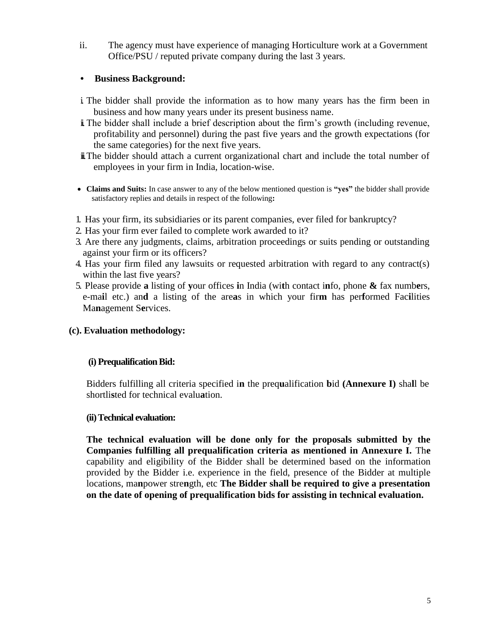ii. The agency must have experience of managing Horticulture work at a Government Office/PSU / reputed private company during the last 3 years.

## **• Business Background:**

- i. The bidder shall provide the information as to how many years has the firm been in business and how many years under its present business name.
- ii.The bidder shall include a brief description about the firm's growth (including revenue, profitability and personnel) during the past five years and the growth expectations (for the same categories) for the next five years.
- $\ddot{\mathbf{i}}$ . The bidder should attach a current organizational chart and include the total number of employees in your firm in India, location-wise.
- **Claims and Suits:** In case answer to any of the below mentioned question is **"yes"** the bidder shall provide satisfactory replies and details in respect of the following**:**
- 1. Has your firm, its subsidiaries or its parent companies, ever filed for bankruptcy?
- 2. Has your firm ever failed to complete work awarded to it?
- 3. Are there any judgments, claims, arbitration proceedings or suits pending or outstanding against your firm or its officers?
- 4. Has your firm filed any lawsuits or requested arbitration with regard to any contract(s) within the last five years?
- 5. Please provide **a** listing of **y**our offices **i**n India (wi**t**h contact i**n**fo, phone **&** fax numb**e**rs, e-ma**i**l etc.) an**d** a listing of the are**a**s in which your fir**m** has per**f**ormed Fac**i**lities Ma**n**agement S**e**rvices.

## **(c). Evaluation methodology:**

## **(i) Prequalification Bid:**

Bidders fulfilling all criteria specified i**n** the preq**u**alification **b**id **(Annexure I)** sha**l**l be shortli**s**ted for technical evalu**a**tion.

## **(ii) Technical evaluation:**

**The technical evaluation will be done only for the proposals submitted by the Companies fulfilling all prequalification criteria as mentioned in Annexure I.** Th**e**  capability and eligibility of the Bidder shall be determined based on the information provided by the Bidder i.e. experience in the field, presence of the Bidder at multiple locations, ma**n**power stre**n**gth, etc **The Bidder shall be required to give a presentation on the date of opening of prequalification bids for assisting in technical evaluation.**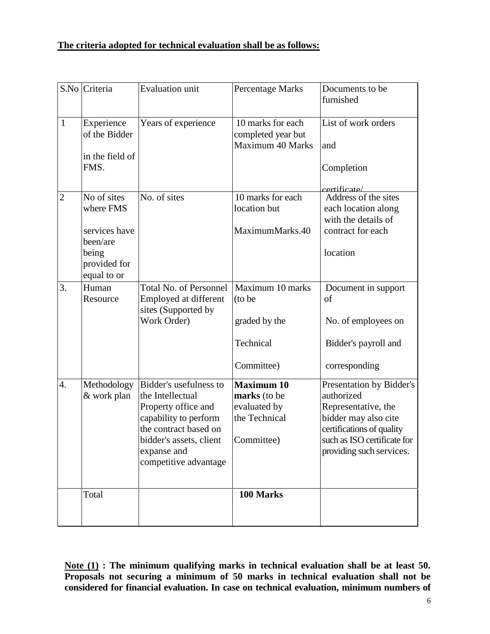## **The criteria adopted for technical evaluation shall be as follows:**

| S.No           | Criteria                                                          | <b>Evaluation unit</b>                                                                                                                                                                 | <b>Percentage Marks</b>                                                          | Documents to be<br>furnished                                                                                                                                                  |
|----------------|-------------------------------------------------------------------|----------------------------------------------------------------------------------------------------------------------------------------------------------------------------------------|----------------------------------------------------------------------------------|-------------------------------------------------------------------------------------------------------------------------------------------------------------------------------|
| $\mathbf{1}$   | Experience<br>of the Bidder<br>in the field of                    | Years of experience                                                                                                                                                                    | 10 marks for each<br>completed year but<br><b>Maximum 40 Marks</b>               | List of work orders<br>and                                                                                                                                                    |
|                | FMS.                                                              |                                                                                                                                                                                        |                                                                                  | Completion<br>certificate/                                                                                                                                                    |
| $\overline{2}$ | No of sites<br>where FMS                                          | No. of sites                                                                                                                                                                           | 10 marks for each<br>location but                                                | Address of the sites<br>each location along<br>with the details of                                                                                                            |
|                | services have<br>been/are<br>being<br>provided for<br>equal to or |                                                                                                                                                                                        | MaximumMarks.40                                                                  | contract for each<br>location                                                                                                                                                 |
| 3.             | Human<br>Resource                                                 | <b>Total No. of Personnel</b><br>Employed at different<br>sites (Supported by<br>Work Order)                                                                                           | Maximum 10 marks<br>(to be<br>graded by the                                      | Document in support<br>of<br>No. of employees on                                                                                                                              |
|                |                                                                   |                                                                                                                                                                                        | Technical<br>Committee)                                                          | Bidder's payroll and<br>corresponding                                                                                                                                         |
| 4.             | Methodology<br>& work plan                                        | Bidder's usefulness to<br>the Intellectual<br>Property office and<br>capability to perform<br>the contract based on<br>bidder's assets, client<br>expanse and<br>competitive advantage | <b>Maximum 10</b><br>marks (to be<br>evaluated by<br>the Technical<br>Committee) | Presentation by Bidder's<br>authorized<br>Representative, the<br>bidder may also cite<br>certifications of quality<br>such as ISO certificate for<br>providing such services. |
|                | Total                                                             |                                                                                                                                                                                        | 100 Marks                                                                        |                                                                                                                                                                               |

**Note (1) : The minimum qualifying marks in technical evaluation shall be at least 50. Proposals not securing a minimum of 50 marks in technical evaluation shall not be considered for financial evaluation. In case on technical evaluation, minimum numbers of**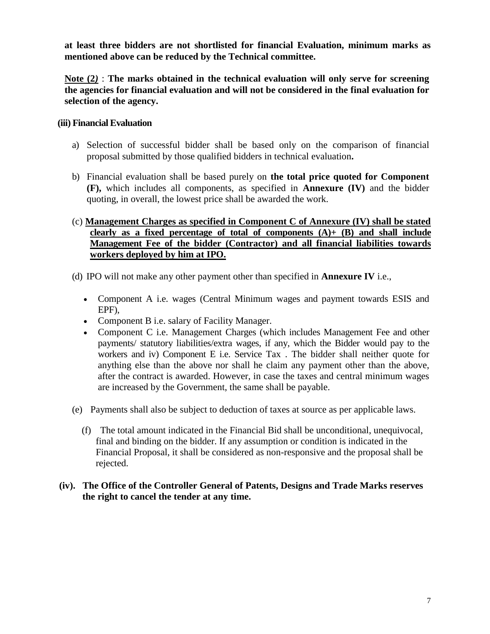**at least three bidders are not shortlisted for financial Evaluation, minimum marks as mentioned above can be reduced by the Technical committee.**

**Note (2***)* : **The marks obtained in the technical evaluation will only serve for screening the agencies for financial evaluation and will not be considered in the final evaluation for selection of the agency.**

### **(iii) Financial Evaluation**

- a) Selection of successful bidder shall be based only on the comparison of financial proposal submitted by those qualified bidders in technical evaluation**.**
- b) Financial evaluation shall be based purely on **the total price quoted for Component (F),** which includes all components, as specified in **Annexure (IV)** and the bidder quoting, in overall, the lowest price shall be awarded the work.
- (c) **Management Charges as specified in Component C of Annexure (IV) shall be stated clearly as a fixed percentage of total of components (A)+ (B) and shall include Management Fee of the bidder (Contractor) and all financial liabilities towards workers deployed by him at IPO.**
- (d) IPO will not make any other payment other than specified in **Annexure IV** i.e.,
	- Component A i.e. wages (Central Minimum wages and payment towards ESIS and EPF),
	- Component B i.e. salary of Facility Manager.
	- Component C i.e. Management Charges (which includes Management Fee and other payments/ statutory liabilities/extra wages, if any, which the Bidder would pay to the workers and iv) Component E i.e. Service Tax . The bidder shall neither quote for anything else than the above nor shall he claim any payment other than the above, after the contract is awarded. However, in case the taxes and central minimum wages are increased by the Government, the same shall be payable.
- (e) Payments shall also be subject to deduction of taxes at source as per applicable laws.
	- (f) The total amount indicated in the Financial Bid shall be unconditional, unequivocal, final and binding on the bidder. If any assumption or condition is indicated in the Financial Proposal, it shall be considered as non-responsive and the proposal shall be rejected.

### **(iv). The Office of the Controller General of Patents, Designs and Trade Marks reserves the right to cancel the tender at any time.**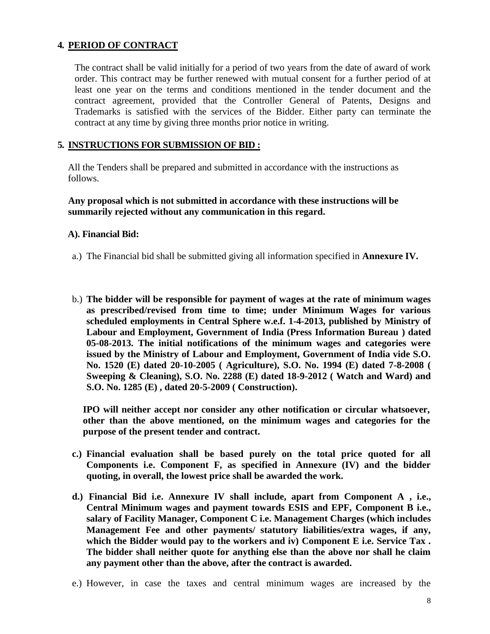## **4. PERIOD OF CONTRACT**

The contract shall be valid initially for a period of two years from the date of award of work order. This contract may be further renewed with mutual consent for a further period of at least one year on the terms and conditions mentioned in the tender document and the contract agreement, provided that the Controller General of Patents, Designs and Trademarks is satisfied with the services of the Bidder. Either party can terminate the contract at any time by giving three months prior notice in writing.

#### **5. INSTRUCTIONS FOR SUBMISSION OF BID :**

All the Tenders shall be prepared and submitted in accordance with the instructions as follows.

#### **Any proposal which is not submitted in accordance with these instructions will be summarily rejected without any communication in this regard.**

#### **A). Financial Bid:**

- a.) The Financial bid shall be submitted giving all information specified in **Annexure IV.**
- b.) **The bidder will be responsible for payment of wages at the rate of minimum wages as prescribed/revised from time to time; under Minimum Wages for various scheduled employments in Central Sphere w.e.f. 1-4-2013, published by Ministry of Labour and Employment, Government of India (Press Information Bureau ) dated 05-08-2013. The initial notifications of the minimum wages and categories were issued by the Ministry of Labour and Employment, Government of India vide S.O. No. 1520 (E) dated 20-10-2005 ( Agriculture), S.O. No. 1994 (E) dated 7-8-2008 ( Sweeping & Cleaning), S.O. No. 2288 (E) dated 18-9-2012 ( Watch and Ward) and S.O. No. 1285 (E) , dated 20-5-2009 ( Construction).**

**IPO will neither accept nor consider any other notification or circular whatsoever, other than the above mentioned, on the minimum wages and categories for the purpose of the present tender and contract.**

- **c.) Financial evaluation shall be based purely on the total price quoted for all Components i.e. Component F, as specified in Annexure (IV) and the bidder quoting, in overall, the lowest price shall be awarded the work.**
- **d.) Financial Bid i.e. Annexure IV shall include, apart from Component A , i.e., Central Minimum wages and payment towards ESIS and EPF, Component B i.e., salary of Facility Manager, Component C i.e. Management Charges (which includes Management Fee and other payments/ statutory liabilities/extra wages, if any, which the Bidder would pay to the workers and iv) Component E i.e. Service Tax . The bidder shall neither quote for anything else than the above nor shall he claim any payment other than the above, after the contract is awarded.**
- e.) However, in case the taxes and central minimum wages are increased by the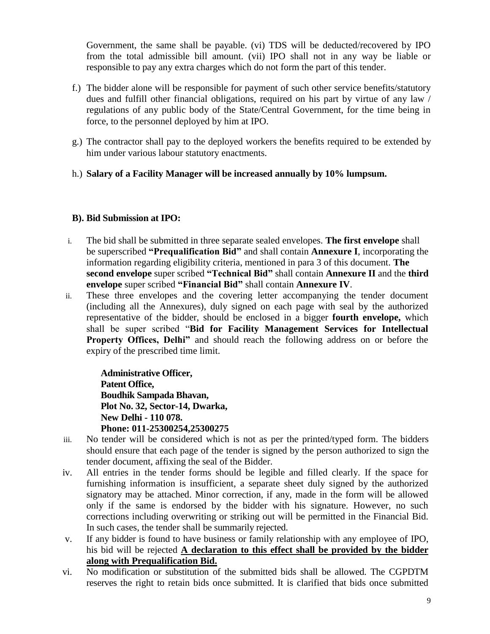Government, the same shall be payable. (vi) TDS will be deducted/recovered by IPO from the total admissible bill amount. (vii) IPO shall not in any way be liable or responsible to pay any extra charges which do not form the part of this tender.

- f.) The bidder alone will be responsible for payment of such other service benefits/statutory dues and fulfill other financial obligations, required on his part by virtue of any law / regulations of any public body of the State/Central Government, for the time being in force, to the personnel deployed by him at IPO.
- g.) The contractor shall pay to the deployed workers the benefits required to be extended by him under various labour statutory enactments.
- h.) **Salary of a Facility Manager will be increased annually by 10% lumpsum.**

## **B). Bid Submission at IPO:**

- i. The bid shall be submitted in three separate sealed envelopes. **The first envelope** shall be superscribed **"Prequalification Bid"** and shall contain **Annexure I**, incorporating the information regarding eligibility criteria, mentioned in para 3 of this document. **The second envelope** super scribed **"Technical Bid"** shall contain **Annexure II** and the **third envelope** super scribed **"Financial Bid"** shall contain **Annexure IV**.
- ii. These three envelopes and the covering letter accompanying the tender document (including all the Annexures), duly signed on each page with seal by the authorized representative of the bidder, should be enclosed in a bigger **fourth envelope,** which shall be super scribed "**Bid for Facility Management Services for Intellectual Property Offices, Delhi"** and should reach the following address on or before the expiry of the prescribed time limit.

**Administrative Officer, Patent Office, Boudhik Sampada Bhavan, Plot No. 32, Sector-14, Dwarka, New Delhi - 110 078. Phone: 011-25300254,25300275**

- iii. No tender will be considered which is not as per the printed/typed form. The bidders should ensure that each page of the tender is signed by the person authorized to sign the tender document, affixing the seal of the Bidder.
- iv. All entries in the tender forms should be legible and filled clearly. If the space for furnishing information is insufficient, a separate sheet duly signed by the authorized signatory may be attached. Minor correction, if any, made in the form will be allowed only if the same is endorsed by the bidder with his signature. However, no such corrections including overwriting or striking out will be permitted in the Financial Bid. In such cases, the tender shall be summarily rejected.
- v. If any bidder is found to have business or family relationship with any employee of IPO, his bid will be rejected **A declaration to this effect shall be provided by the bidder along with Prequalification Bid.**
- vi. No modification or substitution of the submitted bids shall be allowed. The CGPDTM reserves the right to retain bids once submitted. It is clarified that bids once submitted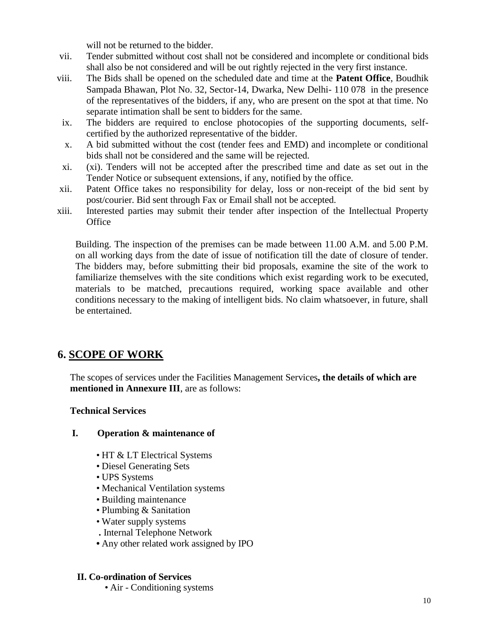will not be returned to the bidder.

- vii. Tender submitted without cost shall not be considered and incomplete or conditional bids shall also be not considered and will be out rightly rejected in the very first instance.
- viii. The Bids shall be opened on the scheduled date and time at the **Patent Office**, Boudhik Sampada Bhawan, Plot No. 32, Sector-14, Dwarka, New Delhi- 110 078 in the presence of the representatives of the bidders, if any, who are present on the spot at that time. No separate intimation shall be sent to bidders for the same.
- ix. The bidders are required to enclose photocopies of the supporting documents, selfcertified by the authorized representative of the bidder.
- x. A bid submitted without the cost (tender fees and EMD) and incomplete or conditional bids shall not be considered and the same will be rejected.
- xi. (xi). Tenders will not be accepted after the prescribed time and date as set out in the Tender Notice or subsequent extensions, if any, notified by the office.
- xii. Patent Office takes no responsibility for delay, loss or non-receipt of the bid sent by post/courier. Bid sent through Fax or Email shall not be accepted.
- xiii. Interested parties may submit their tender after inspection of the Intellectual Property **Office**

Building. The inspection of the premises can be made between 11.00 A.M. and 5.00 P.M. on all working days from the date of issue of notification till the date of closure of tender. The bidders may, before submitting their bid proposals, examine the site of the work to familiarize themselves with the site conditions which exist regarding work to be executed, materials to be matched, precautions required, working space available and other conditions necessary to the making of intelligent bids. No claim whatsoever, in future, shall be entertained.

# **6. SCOPE OF WORK**

The scopes of services under the Facilities Management Services**, the details of which are mentioned in Annexure III**, are as follows:

## **Technical Services**

#### **I. Operation & maintenance of**

- HT & LT Electrical Systems
- Diesel Generating Sets
- UPS Systems
- Mechanical Ventilation systems
- Building maintenance
- Plumbing & Sanitation
- Water supply systems
- **.** Internal Telephone Network
- **•** Any other related work assigned by IPO

#### **II. Co-ordination of Services**

• Air - Conditioning systems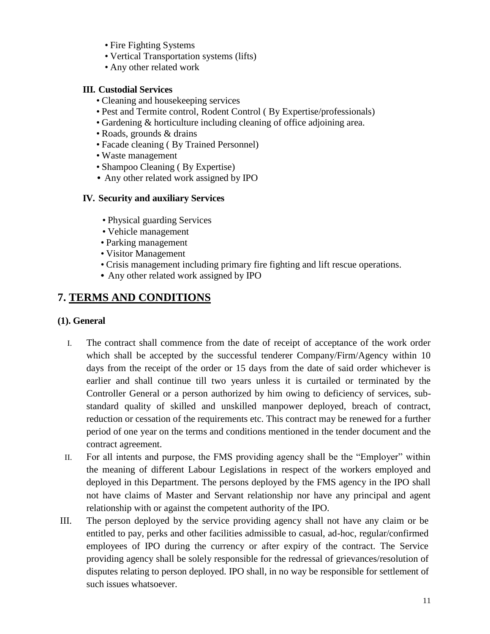- Fire Fighting Systems
- Vertical Transportation systems (lifts)
- Any other related work

### **III. Custodial Services**

- Cleaning and housekeeping services
- Pest and Termite control, Rodent Control ( By Expertise/professionals)
- Gardening & horticulture including cleaning of office adjoining area.
- Roads, grounds & drains
- Facade cleaning ( By Trained Personnel)
- Waste management
- Shampoo Cleaning ( By Expertise)
- Any other related work assigned by **IPO**

### **IV. Security and auxiliary Services**

- Physical guarding Services
- Vehicle management
- Parking management
- Visitor Management
- Crisis management including primary fire fighting and lift rescue operations.
- **•** Any other related work assigned by IPO

# **7. TERMS AND CONDITIONS**

#### **(1). General**

- I. The contract shall commence from the date of receipt of acceptance of the work order which shall be accepted by the successful tenderer Company/Firm/Agency within 10 days from the receipt of the order or 15 days from the date of said order whichever is earlier and shall continue till two years unless it is curtailed or terminated by the Controller General or a person authorized by him owing to deficiency of services, substandard quality of skilled and unskilled manpower deployed, breach of contract, reduction or cessation of the requirements etc. This contract may be renewed for a further period of one year on the terms and conditions mentioned in the tender document and the contract agreement.
- II. For all intents and purpose, the FMS providing agency shall be the "Employer" within the meaning of different Labour Legislations in respect of the workers employed and deployed in this Department. The persons deployed by the FMS agency in the IPO shall not have claims of Master and Servant relationship nor have any principal and agent relationship with or against the competent authority of the IPO.
- III. The person deployed by the service providing agency shall not have any claim or be entitled to pay, perks and other facilities admissible to casual, ad-hoc, regular/confirmed employees of IPO during the currency or after expiry of the contract. The Service providing agency shall be solely responsible for the redressal of grievances/resolution of disputes relating to person deployed. IPO shall, in no way be responsible for settlement of such issues whatsoever.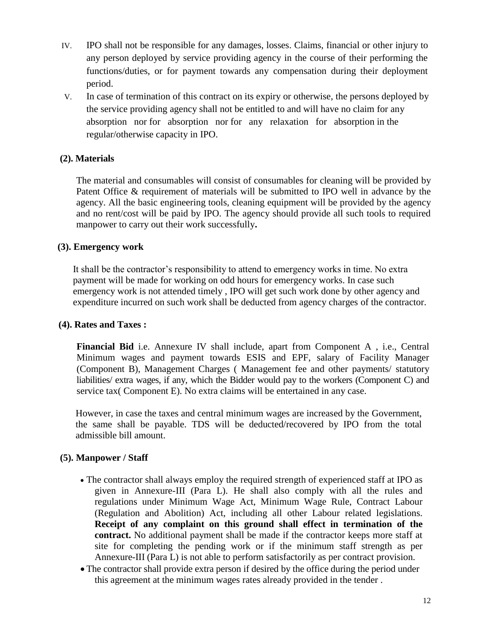- IV. IPO shall not be responsible for any damages, losses. Claims, financial or other injury to any person deployed by service providing agency in the course of their performing the functions/duties, or for payment towards any compensation during their deployment period.
- V. In case of termination of this contract on its expiry or otherwise, the persons deployed by the service providing agency shall not be entitled to and will have no claim for any absorption nor for absorption nor for any relaxation for absorption in the regular/otherwise capacity in IPO.

## **(2). Materials**

The material and consumables will consist of consumables for cleaning will be provided by Patent Office & requirement of materials will be submitted to IPO well in advance by the agency. All the basic engineering tools, cleaning equipment will be provided by the agency and no rent/cost will be paid by IPO. The agency should provide all such tools to required manpower to carry out their work successfully**.**

## **(3). Emergency work**

It shall be the contractor's responsibility to attend to emergency works in time. No extra payment will be made for working on odd hours for emergency works. In case such emergency work is not attended timely , IPO will get such work done by other agency and expenditure incurred on such work shall be deducted from agency charges of the contractor.

## **(4). Rates and Taxes :**

**Financial Bid** i.e. Annexure IV shall include, apart from Component A , i.e., Central Minimum wages and payment towards ESIS and EPF, salary of Facility Manager (Component B), Management Charges ( Management fee and other payments/ statutory liabilities/ extra wages, if any, which the Bidder would pay to the workers (Component C) and service tax( Component E). No extra claims will be entertained in any case.

However, in case the taxes and central minimum wages are increased by the Government, the same shall be payable. TDS will be deducted/recovered by IPO from the total admissible bill amount.

## **(5). Manpower / Staff**

- The contractor shall always employ the required strength of experienced staff at IPO as given in Annexure-III (Para L). He shall also comply with all the rules and regulations under Minimum Wage Act, Minimum Wage Rule, Contract Labour (Regulation and Abolition) Act, including all other Labour related legislations. **Receipt of any complaint on this ground shall effect in termination of the contract.** No additional payment shall be made if the contractor keeps more staff at site for completing the pending work or if the minimum staff strength as per Annexure-III (Para L) is not able to perform satisfactorily as per contract provision.
- The contractor shall provide extra person if desired by the office during the period under this agreement at the minimum wages rates already provided in the tender .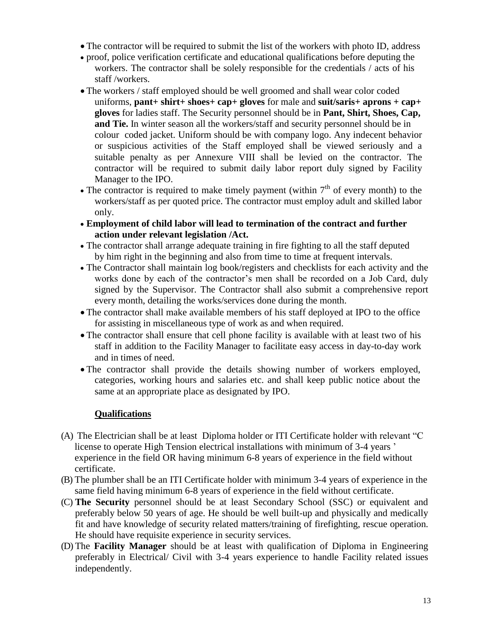- The contractor will be required to submit the list of the workers with photo ID, address
- proof, police verification certificate and educational qualifications before deputing the workers. The contractor shall be solely responsible for the credentials / acts of his staff /workers.
- The workers / staff employed should be well groomed and shall wear color coded uniforms, **pant+ shirt+ shoes+ cap+ gloves** for male and **suit/saris+ aprons + cap+ gloves** for ladies staff. The Security personnel should be in **Pant, Shirt, Shoes, Cap, and Tie.** In winter season all the workers/staff and security personnel should be in colour coded jacket. Uniform should be with company logo. Any indecent behavior or suspicious activities of the Staff employed shall be viewed seriously and a suitable penalty as per Annexure VIII shall be levied on the contractor. The contractor will be required to submit daily labor report duly signed by Facility Manager to the IPO.
- The contractor is required to make timely payment (within  $7<sup>th</sup>$  of every month) to the workers/staff as per quoted price. The contractor must employ adult and skilled labor only.
- **Employment of child labor will lead to termination of the contract and further action under relevant legislation /Act.**
- The contractor shall arrange adequate training in fire fighting to all the staff deputed by him right in the beginning and also from time to time at frequent intervals.
- The Contractor shall maintain log book/registers and checklists for each activity and the works done by each of the contractor's men shall be recorded on a Job Card, duly signed by the Supervisor. The Contractor shall also submit a comprehensive report every month, detailing the works/services done during the month.
- The contractor shall make available members of his staff deployed at IPO to the office for assisting in miscellaneous type of work as and when required.
- The contractor shall ensure that cell phone facility is available with at least two of his staff in addition to the Facility Manager to facilitate easy access in day-to-day work and in times of need.
- The contractor shall provide the details showing number of workers employed, categories, working hours and salaries etc. and shall keep public notice about the same at an appropriate place as designated by IPO.

## **Qualifications**

- (A) The Electrician shall be at least Diploma holder or ITI Certificate holder with relevant "C license to operate High Tension electrical installations with minimum of 3-4 years ' experience in the field OR having minimum 6-8 years of experience in the field without certificate.
- (B) The plumber shall be an ITI Certificate holder with minimum 3-4 years of experience in the same field having minimum 6-8 years of experience in the field without certificate.
- (C) **The Security** personnel should be at least Secondary School (SSC) or equivalent and preferably below 50 years of age. He should be well built-up and physically and medically fit and have knowledge of security related matters/training of firefighting, rescue operation. He should have requisite experience in security services.
- (D) The **Facility Manager** should be at least with qualification of Diploma in Engineering preferably in Electrical/ Civil with 3-4 years experience to handle Facility related issues independently.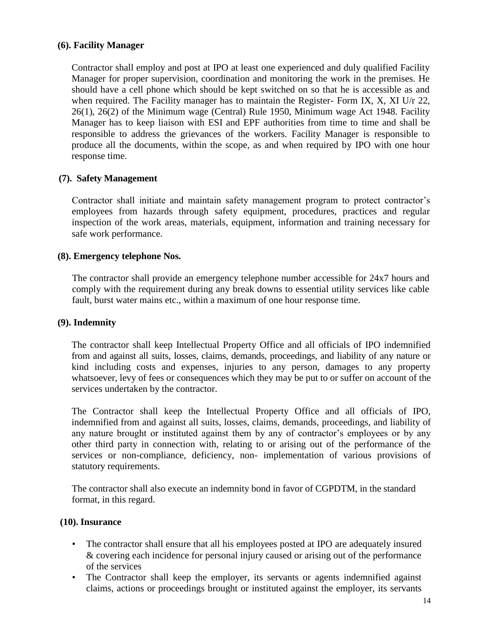### **(6). Facility Manager**

Contractor shall employ and post at IPO at least one experienced and duly qualified Facility Manager for proper supervision, coordination and monitoring the work in the premises. He should have a cell phone which should be kept switched on so that he is accessible as and when required. The Facility manager has to maintain the Register- Form IX, X, XI U/r  $22$ , 26(1), 26(2) of the Minimum wage (Central) Rule 1950, Minimum wage Act 1948. Facility Manager has to keep liaison with ESI and EPF authorities from time to time and shall be responsible to address the grievances of the workers. Facility Manager is responsible to produce all the documents, within the scope, as and when required by IPO with one hour response time.

### **(7). Safety Management**

Contractor shall initiate and maintain safety management program to protect contractor's employees from hazards through safety equipment, procedures, practices and regular inspection of the work areas, materials, equipment, information and training necessary for safe work performance.

#### **(8). Emergency telephone Nos.**

The contractor shall provide an emergency telephone number accessible for 24x7 hours and comply with the requirement during any break downs to essential utility services like cable fault, burst water mains etc., within a maximum of one hour response time.

#### **(9). Indemnity**

The contractor shall keep Intellectual Property Office and all officials of IPO indemnified from and against all suits, losses, claims, demands, proceedings, and liability of any nature or kind including costs and expenses, injuries to any person, damages to any property whatsoever, levy of fees or consequences which they may be put to or suffer on account of the services undertaken by the contractor.

The Contractor shall keep the Intellectual Property Office and all officials of IPO, indemnified from and against all suits, losses, claims, demands, proceedings, and liability of any nature brought or instituted against them by any of contractor's employees or by any other third party in connection with, relating to or arising out of the performance of the services or non-compliance, deficiency, non- implementation of various provisions of statutory requirements.

The contractor shall also execute an indemnity bond in favor of CGPDTM, in the standard format, in this regard.

#### **(10). Insurance**

- The contractor shall ensure that all his employees posted at IPO are adequately insured & covering each incidence for personal injury caused or arising out of the performance of the services
- The Contractor shall keep the employer, its servants or agents indemnified against claims, actions or proceedings brought or instituted against the employer, its servants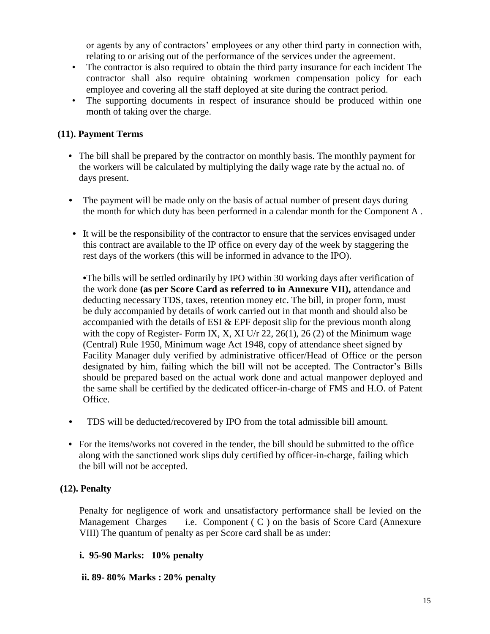or agents by any of contractors' employees or any other third party in connection with, relating to or arising out of the performance of the services under the agreement.

- The contractor is also required to obtain the third party insurance for each incident The contractor shall also require obtaining workmen compensation policy for each employee and covering all the staff deployed at site during the contract period.
- The supporting documents in respect of insurance should be produced within one month of taking over the charge.

## **(11). Payment Terms**

- The bill shall be prepared by the contractor on monthly basis. The monthly payment for the workers will be calculated by multiplying the daily wage rate by the actual no. of days present.
- **•** The payment will be made only on the basis of actual number of present days during the month for which duty has been performed in a calendar month for the Component A .
- It will be the responsibility of the contractor to ensure that the services envisaged under this contract are available to the IP office on every day of the week by staggering the rest days of the workers (this will be informed in advance to the IPO).

**•**The bills will be settled ordinarily by IPO within 30 working days after verification of the work done **(as per Score Card as referred to in Annexure VII),** attendance and deducting necessary TDS, taxes, retention money etc. The bill, in proper form, must be duly accompanied by details of work carried out in that month and should also be accompanied with the details of ESI & EPF deposit slip for the previous month along with the copy of Register-Form IX, X, XI U/r 22, 26(1), 26(2) of the Minimum wage (Central) Rule 1950, Minimum wage Act 1948, copy of attendance sheet signed by Facility Manager duly verified by administrative officer/Head of Office or the person designated by him, failing which the bill will not be accepted. The Contractor's Bills should be prepared based on the actual work done and actual manpower deployed and the same shall be certified by the dedicated officer-in-charge of FMS and H.O. of Patent Office.

- **•** TDS will be deducted/recovered by IPO from the total admissible bill amount.
- For the items/works not covered in the tender, the bill should be submitted to the office along with the sanctioned work slips duly certified by officer-in-charge, failing which the bill will not be accepted.

## **(12). Penalty**

Penalty for negligence of work and unsatisfactory performance shall be levied on the Management Charges i.e. Component  $(C)$  on the basis of Score Card (Annexure VIII) The quantum of penalty as per Score card shall be as under:

## **i. 95-90 Marks: 10% penalty**

#### **ii. 89- 80% Marks : 20% penalty**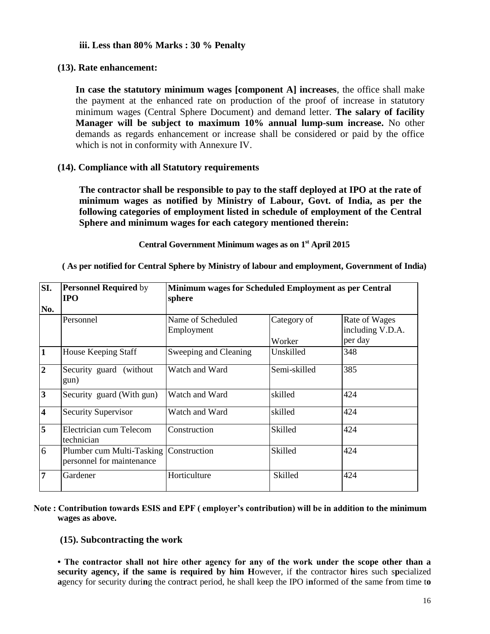#### **iii. Less than 80% Marks : 30 % Penalty**

### **(13). Rate enhancement:**

**In case the statutory minimum wages [component A] increases**, the office shall make the payment at the enhanced rate on production of the proof of increase in statutory minimum wages (Central Sphere Document) and demand letter. **The salary of facility Manager will be subject to maximum 10% annual lump-sum increase.** No other demands as regards enhancement or increase shall be considered or paid by the office which is not in conformity with Annexure IV.

### **(14). Compliance with all Statutory requirements**

**The contractor shall be responsible to pay to the staff deployed at IPO at the rate of minimum wages as notified by Ministry of Labour, Govt. of India, as per the following categories of employment listed in schedule of employment of the Central Sphere and minimum wages for each category mentioned therein:**

#### **Central Government Minimum wages as on 1st April 2015**

**( As per notified for Central Sphere by Ministry of labour and employment, Government of India)**

| SI.                     | <b>Personnel Required by</b><br><b>IPO</b>             | Minimum wages for Scheduled Employment as per Central<br>sphere |                       |                                              |
|-------------------------|--------------------------------------------------------|-----------------------------------------------------------------|-----------------------|----------------------------------------------|
| No.                     |                                                        |                                                                 |                       |                                              |
|                         | Personnel                                              | Name of Scheduled<br>Employment                                 | Category of<br>Worker | Rate of Wages<br>including V.D.A.<br>per day |
| $\mathbf{1}$            | House Keeping Staff                                    | Sweeping and Cleaning                                           | Unskilled             | 348                                          |
| $\overline{2}$          | Security guard (without)<br>gun)                       | Watch and Ward                                                  | Semi-skilled          | 385                                          |
| 3                       | Security guard (With gun)                              | Watch and Ward                                                  | skilled               | 424                                          |
| $\overline{\mathbf{4}}$ | Security Supervisor                                    | Watch and Ward                                                  | skilled               | 424                                          |
| 5                       | Electrician cum Telecom<br>technician                  | Construction                                                    | Skilled               | 424                                          |
| 6                       | Plumber cum Multi-Tasking<br>personnel for maintenance | Construction                                                    | Skilled               | 424                                          |
| $\overline{7}$          | Gardener                                               | Horticulture                                                    | Skilled               | 424                                          |

#### **Note : Contribution towards ESIS and EPF ( employer's contribution) will be in addition to the minimum wages as above.**

#### **(15). Subcontracting the work**

**• The contractor shall not hire other agency for any of the work under the scope other than a security agency, if the same is required by him H**owever, if **t**he contractor **h**ires such s**p**ecialized **a**gency for security duri**n**g the cont**r**act period, he shall keep the IPO i**n**formed of **t**he same f**r**om time t**o**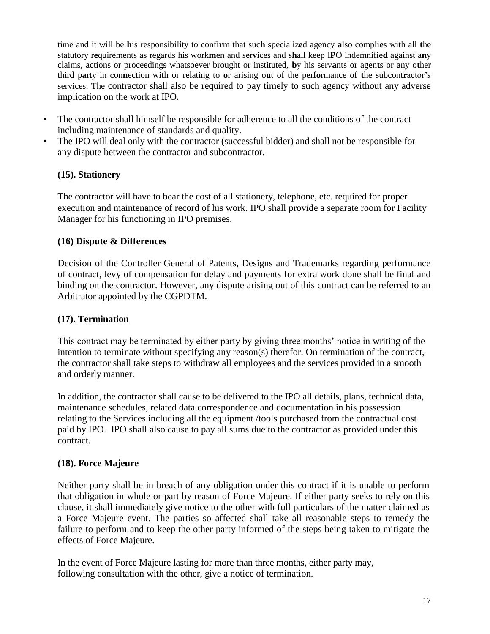time and it will be **h**is responsibil**i**ty to confi**r**m that suc**h** specializ**e**d agency **a**lso compli**e**s with all **t**he statutory r**e**quirements as regards his work**m**en and ser**v**ices and s**h**all keep I**P**O indemnifie**d** against a**n**y claims, actions or proceedings whatsoever brought or instituted, **b**y his serv**a**nts or agen**t**s or any o**t**her third p**a**rty in con**n**ection with or relating to **o**r arising o**u**t of the per**fo**rmance of **t**he subcont**r**actor's services. The contractor shall also be required to pay timely to such agency without any adverse implication on the work at IPO.

- The contractor shall himself be responsible for adherence to all the conditions of the contract including maintenance of standards and quality.
- The IPO will deal only with the contractor (successful bidder) and shall not be responsible for any dispute between the contractor and subcontractor.

## **(15). Stationery**

The contractor will have to bear the cost of all stationery, telephone, etc. required for proper execution and maintenance of record of his work. IPO shall provide a separate room for Facility Manager for his functioning in IPO premises.

## **(16) Dispute & Differences**

Decision of the Controller General of Patents, Designs and Trademarks regarding performance of contract, levy of compensation for delay and payments for extra work done shall be final and binding on the contractor. However, any dispute arising out of this contract can be referred to an Arbitrator appointed by the CGPDTM.

### **(17). Termination**

This contract may be terminated by either party by giving three months' notice in writing of the intention to terminate without specifying any reason(s) therefor. On termination of the contract, the contractor shall take steps to withdraw all employees and the services provided in a smooth and orderly manner.

In addition, the contractor shall cause to be delivered to the IPO all details, plans, technical data, maintenance schedules, related data correspondence and documentation in his possession relating to the Services including all the equipment /tools purchased from the contractual cost paid by IPO. IPO shall also cause to pay all sums due to the contractor as provided under this contract.

## **(18). Force Majeure**

Neither party shall be in breach of any obligation under this contract if it is unable to perform that obligation in whole or part by reason of Force Majeure. If either party seeks to rely on this clause, it shall immediately give notice to the other with full particulars of the matter claimed as a Force Majeure event. The parties so affected shall take all reasonable steps to remedy the failure to perform and to keep the other party informed of the steps being taken to mitigate the effects of Force Majeure.

In the event of Force Majeure lasting for more than three months, either party may, following consultation with the other, give a notice of termination.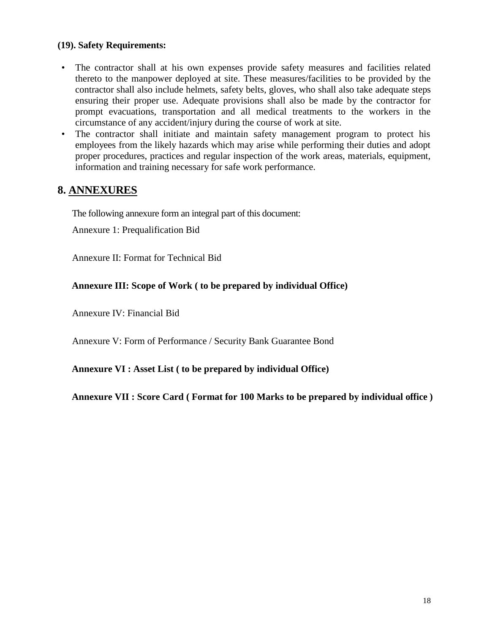### **(19). Safety Requirements:**

- The contractor shall at his own expenses provide safety measures and facilities related thereto to the manpower deployed at site. These measures/facilities to be provided by the contractor shall also include helmets, safety belts, gloves, who shall also take adequate steps ensuring their proper use. Adequate provisions shall also be made by the contractor for prompt evacuations, transportation and all medical treatments to the workers in the circumstance of any accident/injury during the course of work at site.
- The contractor shall initiate and maintain safety management program to protect his employees from the likely hazards which may arise while performing their duties and adopt proper procedures, practices and regular inspection of the work areas, materials, equipment, information and training necessary for safe work performance.

## **8. ANNEXURES**

The following annexure form an integral part of this document:

Annexure 1: Prequalification Bid

Annexure II: Format for Technical Bid

## **Annexure III: Scope of Work ( to be prepared by individual Office)**

Annexure IV: Financial Bid

Annexure V: Form of Performance / Security Bank Guarantee Bond

**Annexure VI : Asset List ( to be prepared by individual Office)**

**Annexure VII : Score Card ( Format for 100 Marks to be prepared by individual office )**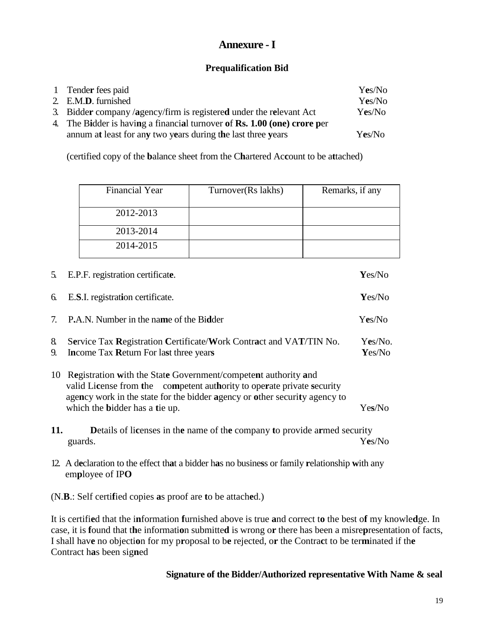# **Annexure -I**

## **Prequalification Bid**

| 1 Tender fees paid                                                       | Yes/No |
|--------------------------------------------------------------------------|--------|
| 2. E.M.D. furnished                                                      | Yes/No |
| 3. Bidder company/agency/firm is registered under the relevant Act       | Yes/No |
| 4. The Bidder is having a financial turnover of Rs. 1.00 (one) crore per |        |
| annum at least for any two years during the last three years             | Yes/No |

(certified copy of the **b**alance sheet from the C**h**artered Ac**c**ount to be a**t**tached)

| Financial Year | Turnover(Rs lakhs) | Remarks, if any |
|----------------|--------------------|-----------------|
| 2012-2013      |                    |                 |
| 2013-2014      |                    |                 |
| 2014-2015      |                    |                 |

| 5.       | E.P.F. registration certificate.                                                                                                                                                                                                                                 | Yes/No            |
|----------|------------------------------------------------------------------------------------------------------------------------------------------------------------------------------------------------------------------------------------------------------------------|-------------------|
| 6.       | E.S.I. registration certificate.                                                                                                                                                                                                                                 | Yes/No            |
|          | 7. P.A.N. Number in the name of the Bidder                                                                                                                                                                                                                       | Yes/No            |
| 8.<br>9. | Service Tax Registration Certificate/Work Contract and VAT/TIN No.<br>Income Tax Return For last three years                                                                                                                                                     | Yes/No.<br>Yes/No |
| 10       | Registration with the State Government/competent authority and<br>valid License from the competent authority to operate private security<br>agency work in the state for the bidder agency or other security agency to<br>which the <b>b</b> idder has a tie up. | Yes/No            |
| 11.      | <b>Details of licenses in the name of the company to provide armed security</b><br>guards.                                                                                                                                                                       | Yes/No            |
|          | 10 A 1 1 $\mathcal{F}$ and $\mathcal{F}$ and $\mathcal{F}$ 1.11 1 in the set of the 1 $\mathcal{F}$ and 1.1 in the 1.1 in the 1.1 in the 1.1 in the 1.1 in the 1.1 in the 1.1 in the 1.1 in the 1.1 in the 1.1 in the 1.1 in the 1.1 in the 1.1 i                |                   |

12. A d**e**claration to the effect th**a**t a bidder h**a**s no busine**s**s or family **r**elationship **w**ith any em**p**loyee of IP**O**

(N.**B**.: Self certi**f**ied copies **a**s proof are **t**o be attach**e**d.)

It is certifi**e**d that the i**n**formation **f**urnished above is true **a**nd correct t**o** the best o**f** my knowle**d**ge. In case, it is **f**ound that t**h**e informati**o**n submitte**d** is wrong o**r** there has been a misre**p**resentation of facts, I shall hav**e** no objecti**o**n for my p**r**oposal to b**e** rejected, o**r** the Contra**c**t to be ter**m**inated if th**e**  Contract h**a**s been sig**n**ed

## **Signature of the Bidder/Authorized representative With Name & seal**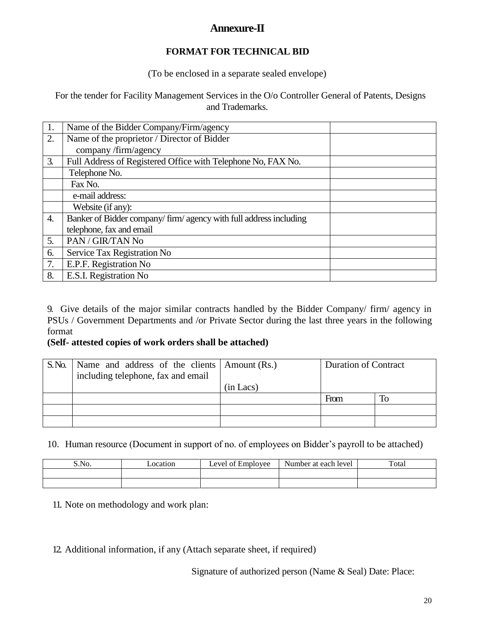# **Annexure-II**

## **FORMAT FOR TECHNICAL BID**

(To be enclosed in a separate sealed envelope)

For the tender for Facility Management Services in the O/o Controller General of Patents, Designs and Trademarks.

| 1. | Name of the Bidder Company/Firm/agency                             |
|----|--------------------------------------------------------------------|
| 2. | Name of the proprietor / Director of Bidder                        |
|    | company/firm/agency                                                |
| 3. | Full Address of Registered Office with Telephone No, FAX No.       |
|    | Telephone No.                                                      |
|    | Fax No.                                                            |
|    | e-mail address:                                                    |
|    | Website (if any):                                                  |
| 4. | Banker of Bidder company/ firm/ agency with full address including |
|    | telephone, fax and email                                           |
| 5. | PAN / GIR/TAN No                                                   |
| 6. | Service Tax Registration No                                        |
| 7. | E.P.F. Registration No                                             |
| 8. | E.S.I. Registration No                                             |

9. Give details of the major similar contracts handled by the Bidder Company/ firm/ agency in PSUs / Government Departments and /or Private Sector during the last three years in the following format

## **(Self- attested copies of work orders shall be attached)**

| S. No. | Name and address of the clients Amount (Rs.)<br>including telephone, fax and email |           | <b>Duration of Contract</b> |    |
|--------|------------------------------------------------------------------------------------|-----------|-----------------------------|----|
|        |                                                                                    | (in Lacs) |                             |    |
|        |                                                                                    |           | From                        | To |
|        |                                                                                    |           |                             |    |
|        |                                                                                    |           |                             |    |

## 10. Human resource (Document in support of no. of employees on Bidder's payroll to be attached)

| S.No. | _ocation | evel of Employee | Number at each level | Total |
|-------|----------|------------------|----------------------|-------|
|       |          |                  |                      |       |
|       |          |                  |                      |       |

11. Note on methodology and work plan:

12. Additional information, if any (Attach separate sheet, if required)

Signature of authorized person (Name & Seal) Date: Place: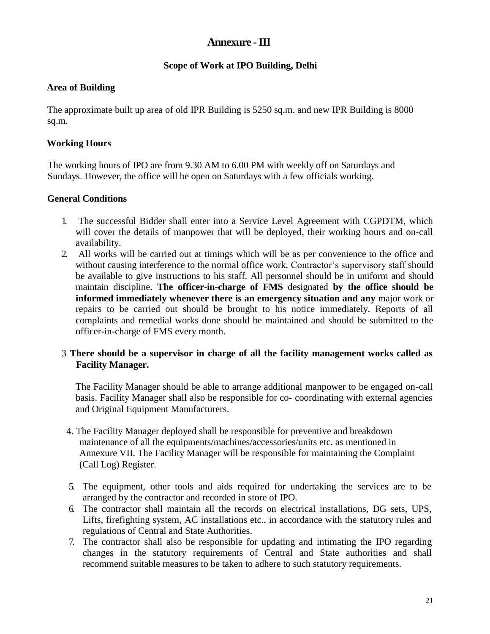## **Annexure -III**

## **Scope of Work at IPO Building, Delhi**

## **Area of Building**

The approximate built up area of old IPR Building is 5250 sq.m. and new IPR Building is 8000 sq.m.

## **Working Hours**

The working hours of IPO are from 9.30 AM to 6.00 PM with weekly off on Saturdays and Sundays. However, the office will be open on Saturdays with a few officials working.

## **General Conditions**

- 1. The successful Bidder shall enter into a Service Level Agreement with CGPDTM, which will cover the details of manpower that will be deployed, their working hours and on-call availability.
- 2. All works will be carried out at timings which will be as per convenience to the office and without causing interference to the normal office work. Contractor's supervisory staff should be available to give instructions to his staff. All personnel should be in uniform and should maintain discipline. **The officer-in-charge of FMS** designated **by the office should be informed immediately whenever there is an emergency situation and any** major work or repairs to be carried out should be brought to his notice immediately. Reports of all complaints and remedial works done should be maintained and should be submitted to the officer-in-charge of FMS every month.

## 3 **There should be a supervisor in charge of all the facility management works called as Facility Manager.**

The Facility Manager should be able to arrange additional manpower to be engaged on-call basis. Facility Manager shall also be responsible for co- coordinating with external agencies and Original Equipment Manufacturers.

- 4. The Facility Manager deployed shall be responsible for preventive and breakdown maintenance of all the equipments/machines/accessories/units etc. as mentioned in Annexure VII. The Facility Manager will be responsible for maintaining the Complaint (Call Log) Register.
- 5. The equipment, other tools and aids required for undertaking the services are to be arranged by the contractor and recorded in store of IPO.
- 6. The contractor shall maintain all the records on electrical installations, DG sets, UPS, Lifts, firefighting system, AC installations etc., in accordance with the statutory rules and regulations of Central and State Authorities.
- 7. The contractor shall also be responsible for updating and intimating the IPO regarding changes in the statutory requirements of Central and State authorities and shall recommend suitable measures to be taken to adhere to such statutory requirements.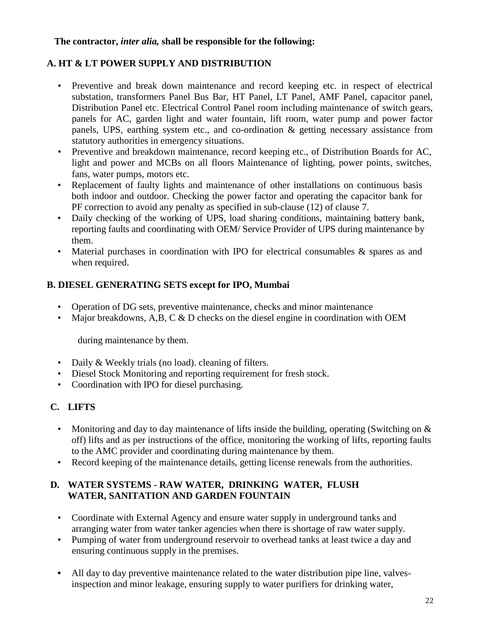## **The contractor,** *inter alia,* **shall be responsible for the following:**

## **A. HT & LT POWER SUPPLY AND DISTRIBUTION**

- Preventive and break down maintenance and record keeping etc. in respect of electrical substation, transformers Panel Bus Bar, HT Panel, LT Panel, AMF Panel, capacitor panel, Distribution Panel etc. Electrical Control Panel room including maintenance of switch gears, panels for AC, garden light and water fountain, lift room, water pump and power factor panels, UPS, earthing system etc., and co-ordination & getting necessary assistance from statutory authorities in emergency situations.
- Preventive and breakdown maintenance, record keeping etc., of Distribution Boards for AC, light and power and MCBs on all floors Maintenance of lighting, power points, switches, fans, water pumps, motors etc.
- Replacement of faulty lights and maintenance of other installations on continuous basis both indoor and outdoor. Checking the power factor and operating the capacitor bank for PF correction to avoid any penalty as specified in sub-clause (12) of clause 7.
- Daily checking of the working of UPS, load sharing conditions, maintaining battery bank, reporting faults and coordinating with OEM/ Service Provider of UPS during maintenance by them.
- Material purchases in coordination with IPO for electrical consumables & spares as and when required.

## **B. DIESEL GENERATING SETS except for IPO, Mumbai**

- Operation of DG sets, preventive maintenance, checks and minor maintenance
- Major breakdowns, A,B, C & D checks on the diesel engine in coordination with OEM

during maintenance by them.

- Daily & Weekly trials (no load). cleaning of filters.
- Diesel Stock Monitoring and reporting requirement for fresh stock.
- Coordination with IPO for diesel purchasing.

# **C. LIFTS**

- Monitoring and day to day maintenance of lifts inside the building, operating (Switching on  $\&$ off) lifts and as per instructions of the office, monitoring the working of lifts, reporting faults to the AMC provider and coordinating during maintenance by them.
- Record keeping of the maintenance details, getting license renewals from the authorities.

## **D. WATER SYSTEMS - RAW WATER, DRINKING WATER, FLUSH WATER, SANITATION AND GARDEN FOUNTAIN**

- Coordinate with External Agency and ensure water supply in underground tanks and arranging water from water tanker agencies when there is shortage of raw water supply.
- Pumping of water from underground reservoir to overhead tanks at least twice a day and ensuring continuous supply in the premises.
- **•** All day to day preventive maintenance related to the water distribution pipe line, valvesinspection and minor leakage, ensuring supply to water purifiers for drinking water,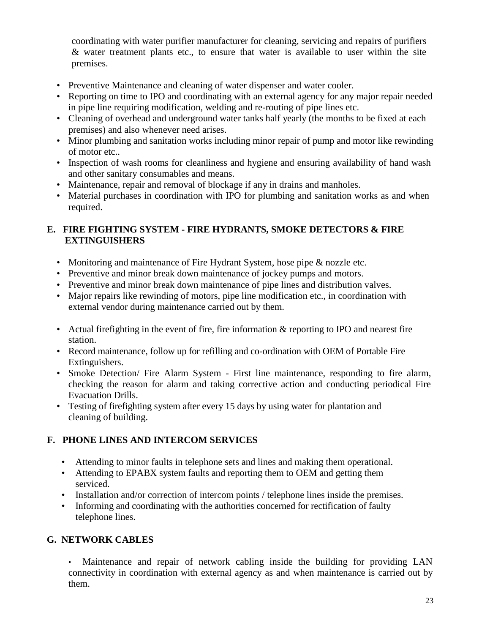coordinating with water purifier manufacturer for cleaning, servicing and repairs of purifiers & water treatment plants etc., to ensure that water is available to user within the site premises.

- Preventive Maintenance and cleaning of water dispenser and water cooler.
- Reporting on time to IPO and coordinating with an external agency for any major repair needed in pipe line requiring modification, welding and re-routing of pipe lines etc.
- Cleaning of overhead and underground water tanks half yearly (the months to be fixed at each premises) and also whenever need arises.
- Minor plumbing and sanitation works including minor repair of pump and motor like rewinding of motor etc..
- Inspection of wash rooms for cleanliness and hygiene and ensuring availability of hand wash and other sanitary consumables and means.
- Maintenance, repair and removal of blockage if any in drains and manholes.
- Material purchases in coordination with IPO for plumbing and sanitation works as and when required.

## **E. FIRE FIGHTING SYSTEM - FIRE HYDRANTS, SMOKE DETECTORS & FIRE EXTINGUISHERS**

- Monitoring and maintenance of Fire Hydrant System, hose pipe & nozzle etc.
- Preventive and minor break down maintenance of jockey pumps and motors.
- Preventive and minor break down maintenance of pipe lines and distribution valves.
- Major repairs like rewinding of motors, pipe line modification etc., in coordination with external vendor during maintenance carried out by them.
- Actual firefighting in the event of fire, fire information & reporting to IPO and nearest fire station.
- Record maintenance, follow up for refilling and co-ordination with OEM of Portable Fire Extinguishers.
- Smoke Detection/ Fire Alarm System First line maintenance, responding to fire alarm, checking the reason for alarm and taking corrective action and conducting periodical Fire Evacuation Drills.
- Testing of firefighting system after every 15 days by using water for plantation and cleaning of building.

# **F. PHONE LINES AND INTERCOM SERVICES**

- Attending to minor faults in telephone sets and lines and making them operational.
- Attending to EPABX system faults and reporting them to OEM and getting them serviced.
- Installation and/or correction of intercom points / telephone lines inside the premises.
- Informing and coordinating with the authorities concerned for rectification of faulty telephone lines.

## **G. NETWORK CABLES**

• Maintenance and repair of network cabling inside the building for providing LAN connectivity in coordination with external agency as and when maintenance is carried out by them.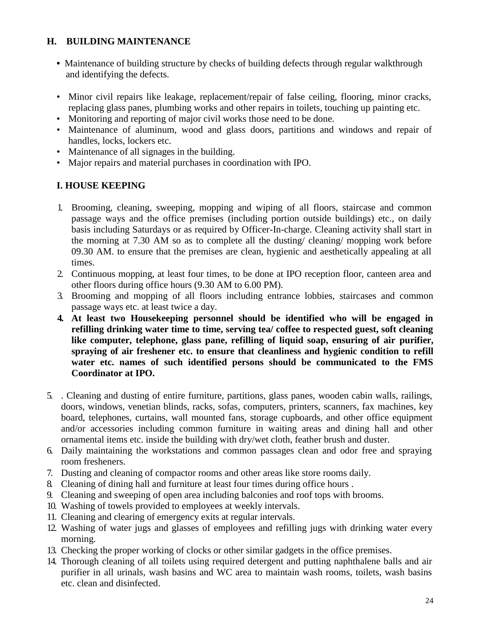## **H. BUILDING MAINTENANCE**

- Maintenance of building structure by checks of building defects through regular walkthrough and identifying the defects.
- Minor civil repairs like leakage, replacement/repair of false ceiling, flooring, minor cracks, replacing glass panes, plumbing works and other repairs in toilets, touching up painting etc.
- Monitoring and reporting of major civil works those need to be done.
- Maintenance of aluminum, wood and glass doors, partitions and windows and repair of handles, locks, lockers etc.
- Maintenance of all signages in the building.
- Major repairs and material purchases in coordination with IPO.

## **I. HOUSE KEEPING**

- 1. Brooming, cleaning, sweeping, mopping and wiping of all floors, staircase and common passage ways and the office premises (including portion outside buildings) etc., on daily basis including Saturdays or as required by Officer-In-charge. Cleaning activity shall start in the morning at 7.30 AM so as to complete all the dusting/ cleaning/ mopping work before 09.30 AM. to ensure that the premises are clean, hygienic and aesthetically appealing at all times.
- 2. Continuous mopping, at least four times, to be done at IPO reception floor, canteen area and other floors during office hours (9.30 AM to 6.00 PM).
- 3. Brooming and mopping of all floors including entrance lobbies, staircases and common passage ways etc. at least twice a day.
- **4. At least two Housekeeping personnel should be identified who will be engaged in refilling drinking water time to time, serving tea/ coffee to respected guest, soft cleaning like computer, telephone, glass pane, refilling of liquid soap, ensuring of air purifier,**  spraying of air freshener etc. to ensure that cleanliness and hygienic condition to refill **water etc. names of such identified persons should be communicated to the FMS Coordinator at IPO.**
- 5. . Cleaning and dusting of entire furniture, partitions, glass panes, wooden cabin walls, railings, doors, windows, venetian blinds, racks, sofas, computers, printers, scanners, fax machines, key board, telephones, curtains, wall mounted fans, storage cupboards, and other office equipment and/or accessories including common furniture in waiting areas and dining hall and other ornamental items etc. inside the building with dry/wet cloth, feather brush and duster.
- 6. Daily maintaining the workstations and common passages clean and odor free and spraying room fresheners.
- 7. Dusting and cleaning of compactor rooms and other areas like store rooms daily.
- 8. Cleaning of dining hall and furniture at least four times during office hours .
- 9. Cleaning and sweeping of open area including balconies and roof tops with brooms.
- 10. Washing of towels provided to employees at weekly intervals.
- 11. Cleaning and clearing of emergency exits at regular intervals.
- 12. Washing of water jugs and glasses of employees and refilling jugs with drinking water every morning.
- 13. Checking the proper working of clocks or other similar gadgets in the office premises.
- 14. Thorough cleaning of all toilets using required detergent and putting naphthalene balls and air purifier in all urinals, wash basins and WC area to maintain wash rooms, toilets, wash basins etc. clean and disinfected.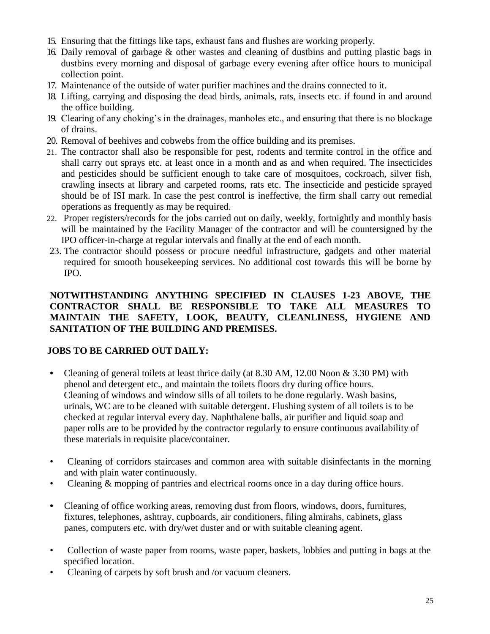- 15. Ensuring that the fittings like taps, exhaust fans and flushes are working properly.
- 16. Daily removal of garbage & other wastes and cleaning of dustbins and putting plastic bags in dustbins every morning and disposal of garbage every evening after office hours to municipal collection point.
- 17. Maintenance of the outside of water purifier machines and the drains connected to it.
- 18. Lifting, carrying and disposing the dead birds, animals, rats, insects etc. if found in and around the office building.
- 19. Clearing of any choking's in the drainages, manholes etc., and ensuring that there is no blockage of drains.
- 20. Removal of beehives and cobwebs from the office building and its premises.
- 21. The contractor shall also be responsible for pest, rodents and termite control in the office and shall carry out sprays etc. at least once in a month and as and when required. The insecticides and pesticides should be sufficient enough to take care of mosquitoes, cockroach, silver fish, crawling insects at library and carpeted rooms, rats etc. The insecticide and pesticide sprayed should be of ISI mark. In case the pest control is ineffective, the firm shall carry out remedial operations as frequently as may be required.
- 22. Proper registers/records for the jobs carried out on daily, weekly, fortnightly and monthly basis will be maintained by the Facility Manager of the contractor and will be countersigned by the IPO officer-in-charge at regular intervals and finally at the end of each month.
- 23. The contractor should possess or procure needful infrastructure, gadgets and other material required for smooth housekeeping services. No additional cost towards this will be borne by IPO.

## **NOTWITHSTANDING ANYTHING SPECIFIED IN CLAUSES 1-23 ABOVE, THE CONTRACTOR SHALL BE RESPONSIBLE TO TAKE ALL MEASURES TO MAINTAIN THE SAFETY, LOOK, BEAUTY, CLEANLINESS, HYGIENE AND SANITATION OF THE BUILDING AND PREMISES.**

## **JOBS TO BE CARRIED OUT DAILY:**

- **•** Cleaning of general toilets at least thrice daily (at 8.30 AM, 12.00 Noon & 3.30 PM) with phenol and detergent etc., and maintain the toilets floors dry during office hours. Cleaning of windows and window sills of all toilets to be done regularly. Wash basins, urinals, WC are to be cleaned with suitable detergent. Flushing system of all toilets is to be checked at regular interval every day. Naphthalene balls, air purifier and liquid soap and paper rolls are to be provided by the contractor regularly to ensure continuous availability of these materials in requisite place/container.
- Cleaning of corridors staircases and common area with suitable disinfectants in the morning and with plain water continuously.
- Cleaning & mopping of pantries and electrical rooms once in a day during office hours.
- **•** Cleaning of office working areas, removing dust from floors, windows, doors, furnitures, fixtures, telephones, ashtray, cupboards, air conditioners, filing almirahs, cabinets, glass panes, computers etc. with dry/wet duster and or with suitable cleaning agent.
- Collection of waste paper from rooms, waste paper, baskets, lobbies and putting in bags at the specified location.
- Cleaning of carpets by soft brush and /or vacuum cleaners.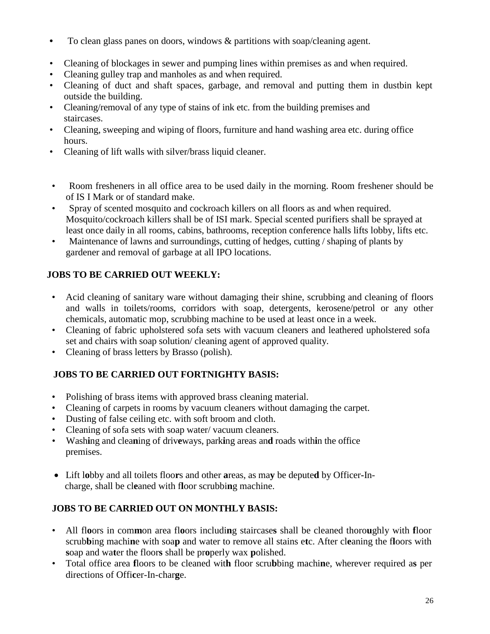- **•** To clean glass panes on doors, windows & partitions with soap/cleaning agent.
- Cleaning of blockages in sewer and pumping lines within premises as and when required.
- Cleaning gulley trap and manholes as and when required.
- Cleaning of duct and shaft spaces, garbage, and removal and putting them in dustbin kept outside the building.
- Cleaning/removal of any type of stains of ink etc. from the building premises and staircases.
- Cleaning, sweeping and wiping of floors, furniture and hand washing area etc. during office hours.
- Cleaning of lift walls with silver/brass liquid cleaner.
- Room fresheners in all office area to be used daily in the morning. Room freshener should be of IS I Mark or of standard make.
- Spray of scented mosquito and cockroach killers on all floors as and when required. Mosquito/cockroach killers shall be of ISI mark. Special scented purifiers shall be sprayed at least once daily in all rooms, cabins, bathrooms, reception conference halls lifts lobby, lifts etc.
- Maintenance of lawns and surroundings, cutting of hedges, cutting / shaping of plants by gardener and removal of garbage at all IPO locations.

# **JOBS TO BE CARRIED OUT WEEKLY:**

- Acid cleaning of sanitary ware without damaging their shine, scrubbing and cleaning of floors and walls in toilets/rooms, corridors with soap, detergents, kerosene/petrol or any other chemicals, automatic mop, scrubbing machine to be used at least once in a week.
- Cleaning of fabric upholstered sofa sets with vacuum cleaners and leathered upholstered sofa set and chairs with soap solution/ cleaning agent of approved quality.
- Cleaning of brass letters by Brasso (polish).

# **JOBS TO BE CARRIED OUT FORTNIGHTY BASIS:**

- Polishing of brass items with approved brass cleaning material.
- Cleaning of carpets in rooms by vacuum cleaners without damaging the carpet.
- Dusting of false ceiling etc. with soft broom and cloth.
- Cleaning of sofa sets with soap water/ vacuum cleaners.
- Wash**i**ng and clea**n**ing of driv**e**ways, park**i**ng areas an**d** roads with**i**n the office premises.
- Lift l**o**bby and all toilets floo**r**s and other **a**reas, as ma**y** be depute**d** by Officer**-**Incharge, shall be cl**e**aned with f**l**oor scrubbi**n**g machine.

# **JOBS TO BE CARRIED OUT ON MONTHLY BASIS:**

- All fl**o**ors in com**m**on area fl**o**ors includi**n**g staircase**s** shall be cleaned thoro**u**ghly with **f**loor scrub**b**ing machi**n**e with soa**p** and water to remove all stains e**t**c. After cl**e**aning the f**l**oors with **s**oap and wa**t**er the floor**s** shall be pr**o**perly wax **p**olished.
- Total office area **f**loors to be cleaned wit**h** floor scru**b**bing machi**n**e, wherever required a**s** per directions of Offi**c**er-In-char**g**e.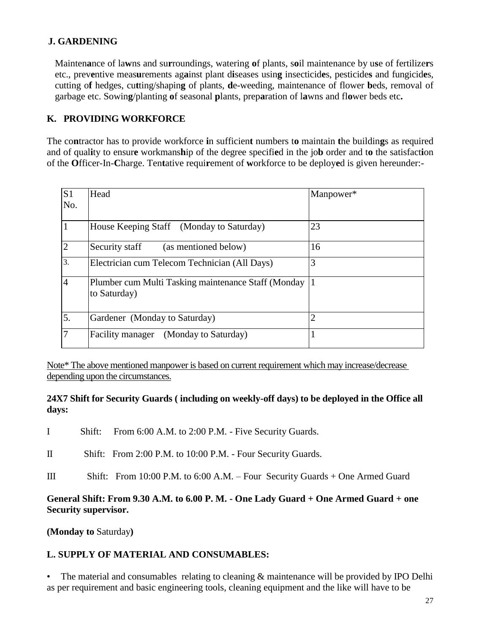## **J. GARDENING**

Mainten**a**nce of la**w**ns and su**r**roundings, watering **o**f plants, s**o**il maintenance by u**s**e of fertilize**r**s etc., prev**e**ntive meas**u**rements ag**a**inst plant d**i**seases usin**g** insecticid**e**s, pesticide**s** and fungicid**e**s, cutting o**f** hedges, cu**t**ting/shapin**g** of plants, **d**e-weeding, maintenance of flower **b**eds, removal of garbage etc. Sowin**g**/planting **o**f seasonal **p**lants, prep**a**ration of l**a**wns and fl**o**wer beds etc**.**

## **K. PROVIDING WORKFORCE**

The co**n**tractor has to provide workforce **i**n sufficien**t** numbers t**o** maintain **t**he buildin**g**s as required and of qual**i**ty to ensur**e** workmans**h**ip of the degree specifi**e**d in the jo**b** order and t**o** the satisfact**i**on of the **O**fficer-In-**C**harge. Ten**t**ative requi**r**ement of **w**orkforce to be deploy**e**d is given hereunder:-

| S <sub>1</sub><br>No. | Head                                                                | Manpower* |
|-----------------------|---------------------------------------------------------------------|-----------|
|                       | House Keeping Staff (Monday to Saturday)                            | 23        |
| $\overline{2}$        | Security staff<br>(as mentioned below)                              | 16        |
| 3.                    | Electrician cum Telecom Technician (All Days)                       | 3         |
| $\overline{4}$        | Plumber cum Multi Tasking maintenance Staff (Monday<br>to Saturday) |           |
| 5.                    | Gardener (Monday to Saturday)                                       |           |
| $\overline{7}$        | Facility manager (Monday to Saturday)                               |           |

Note\* The above mentioned manpower is based on current requirement which may increase/decrease depending upon the circumstances.

### **24X7 Shift for Security Guards ( including on weekly-off days) to be deployed in the Office all days:**

- I Shift: From 6:00 A.M. to 2:00 P.M. Five Security Guards.
- II Shift: From 2:00 P.M. to 10:00 P.M. Four Security Guards.
- III Shift: From 10:00 P.M. to 6:00 A.M. Four Security Guards + One Armed Guard

## **General Shift: From 9.30 A.M. to 6.00 P. M. - One Lady Guard + One Armed Guard + one Security supervisor.**

**(Monday to** Saturday**)**

## **L. SUPPLY OF MATERIAL AND CONSUMABLES:**

• The material and consumables relating to cleaning & maintenance will be provided by IPO Delhi as per requirement and basic engineering tools, cleaning equipment and the like will have to be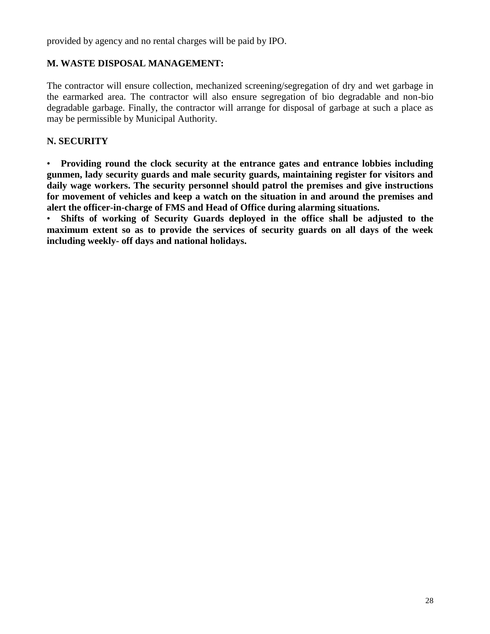provided by agency and no rental charges will be paid by IPO.

## **M. WASTE DISPOSAL MANAGEMENT:**

The contractor will ensure collection, mechanized screening/segregation of dry and wet garbage in the earmarked area. The contractor will also ensure segregation of bio degradable and non-bio degradable garbage. Finally, the contractor will arrange for disposal of garbage at such a place as may be permissible by Municipal Authority.

## **N. SECURITY**

• **Providing round the clock security at the entrance gates and entrance lobbies including gunmen, lady security guards and male security guards, maintaining register for visitors and daily wage workers. The security personnel should patrol the premises and give instructions for movement of vehicles and keep a watch on the situation in and around the premises and alert the officer-in-charge of FMS and Head of Office during alarming situations.**

• **Shifts of working of Security Guards deployed in the office shall be adjusted to the maximum extent so as to provide the services of security guards on all days of the week including weekly- off days and national holidays.**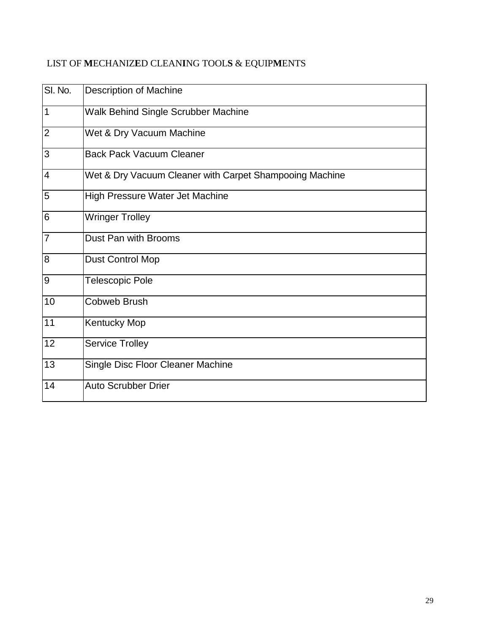# LIST OF **M**ECHANIZ**E**D CLEAN**I**NG TOOL**S** & EQUIP**M**ENTS

| SI. No.        | <b>Description of Machine</b>                           |
|----------------|---------------------------------------------------------|
| $\mathbf 1$    | Walk Behind Single Scrubber Machine                     |
| $\overline{2}$ | Wet & Dry Vacuum Machine                                |
| 3              | <b>Back Pack Vacuum Cleaner</b>                         |
| $\overline{4}$ | Wet & Dry Vacuum Cleaner with Carpet Shampooing Machine |
| 5              | High Pressure Water Jet Machine                         |
| 6              | <b>Wringer Trolley</b>                                  |
| 7              | Dust Pan with Brooms                                    |
| 8              | <b>Dust Control Mop</b>                                 |
| 9              | <b>Telescopic Pole</b>                                  |
| 10             | <b>Cobweb Brush</b>                                     |
| 11             | <b>Kentucky Mop</b>                                     |
| 12             | <b>Service Trolley</b>                                  |
| 13             | Single Disc Floor Cleaner Machine                       |
| 14             | <b>Auto Scrubber Drier</b>                              |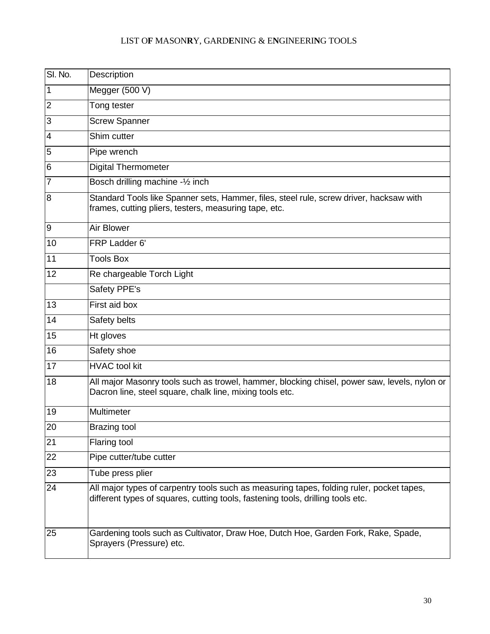## LIST O**F** MASON**R**Y, GARD**E**NING & E**N**GINEERI**N**G TOOLS

| SI. No.        | Description                                                                                                                                                                 |
|----------------|-----------------------------------------------------------------------------------------------------------------------------------------------------------------------------|
| 1              | Megger (500 V)                                                                                                                                                              |
| $\overline{2}$ | Tong tester                                                                                                                                                                 |
| 3              | <b>Screw Spanner</b>                                                                                                                                                        |
| $\overline{4}$ | Shim cutter                                                                                                                                                                 |
| 5              | Pipe wrench                                                                                                                                                                 |
| 6              | <b>Digital Thermometer</b>                                                                                                                                                  |
| 7              | Bosch drilling machine -1/2 inch                                                                                                                                            |
| 8              | Standard Tools like Spanner sets, Hammer, files, steel rule, screw driver, hacksaw with<br>frames, cutting pliers, testers, measuring tape, etc.                            |
| 9              | Air Blower                                                                                                                                                                  |
| 10             | FRP Ladder 6'                                                                                                                                                               |
| 11             | <b>Tools Box</b>                                                                                                                                                            |
| 12             | Re chargeable Torch Light                                                                                                                                                   |
|                | Safety PPE's                                                                                                                                                                |
| 13             | First aid box                                                                                                                                                               |
| 14             | Safety belts                                                                                                                                                                |
| 15             | Ht gloves                                                                                                                                                                   |
| 16             | Safety shoe                                                                                                                                                                 |
| 17             | <b>HVAC</b> tool kit                                                                                                                                                        |
| 18             | All major Masonry tools such as trowel, hammer, blocking chisel, power saw, levels, nylon or<br>Dacron line, steel square, chalk line, mixing tools etc.                    |
| 19             | Multimeter                                                                                                                                                                  |
| 20             | <b>Brazing tool</b>                                                                                                                                                         |
| 21             | Flaring tool                                                                                                                                                                |
| 22             | Pipe cutter/tube cutter                                                                                                                                                     |
| 23             | Tube press plier                                                                                                                                                            |
| 24             | All major types of carpentry tools such as measuring tapes, folding ruler, pocket tapes,<br>different types of squares, cutting tools, fastening tools, drilling tools etc. |
| 25             | Gardening tools such as Cultivator, Draw Hoe, Dutch Hoe, Garden Fork, Rake, Spade,<br>Sprayers (Pressure) etc.                                                              |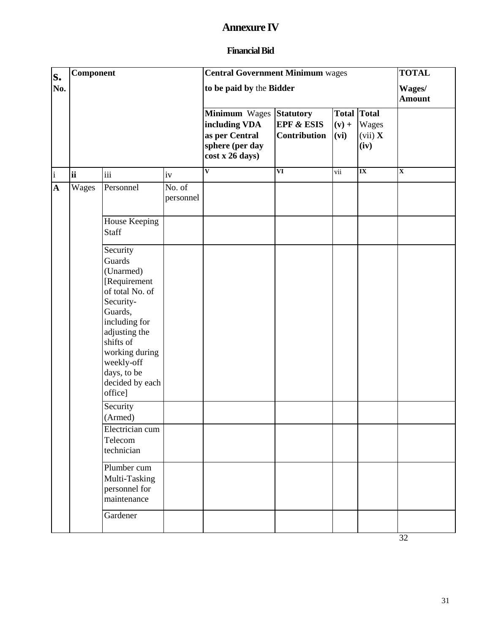# **Annexure IV**

## **Financial Bid**

| S.              | Component |                                                                                                                                                                                                                        |                     | <b>Central Government Minimum wages</b>                                                |                                                                  |                  |                                                | <b>TOTAL</b>            |
|-----------------|-----------|------------------------------------------------------------------------------------------------------------------------------------------------------------------------------------------------------------------------|---------------------|----------------------------------------------------------------------------------------|------------------------------------------------------------------|------------------|------------------------------------------------|-------------------------|
| No.             |           |                                                                                                                                                                                                                        |                     | to be paid by the Bidder                                                               |                                                                  |                  |                                                | Wages/<br><b>Amount</b> |
|                 |           |                                                                                                                                                                                                                        |                     | Minimum Wages<br>including VDA<br>as per Central<br>sphere (per day<br>cost x 26 days) | <b>Statutory</b><br><b>EPF &amp; ESIS</b><br><b>Contribution</b> | $(v) +$<br>(vi)  | <b>Total Total</b><br>Wages<br>(vii) X<br>(iv) |                         |
| $\vert i \vert$ | <b>ii</b> | iii                                                                                                                                                                                                                    | iv                  | $\overline{\mathbf{V}}$                                                                | $\overline{\mathbf{VI}}$                                         | $\overline{vii}$ | $\overline{\mathbf{I}}$                        | $\overline{\mathbf{X}}$ |
| $\mathbf{A}$    | Wages     | Personnel                                                                                                                                                                                                              | No. of<br>personnel |                                                                                        |                                                                  |                  |                                                |                         |
|                 |           | House Keeping<br><b>Staff</b>                                                                                                                                                                                          |                     |                                                                                        |                                                                  |                  |                                                |                         |
|                 |           | Security<br>Guards<br>(Unarmed)<br>[Requirement<br>of total No. of<br>Security-<br>Guards,<br>including for<br>adjusting the<br>shifts of<br>working during<br>weekly-off<br>days, to be<br>decided by each<br>office] |                     |                                                                                        |                                                                  |                  |                                                |                         |
|                 |           | Security<br>(Armed)                                                                                                                                                                                                    |                     |                                                                                        |                                                                  |                  |                                                |                         |
|                 |           | Electrician cum<br>Telecom<br>technician                                                                                                                                                                               |                     |                                                                                        |                                                                  |                  |                                                |                         |
|                 |           | Plumber cum<br>Multi-Tasking<br>personnel for<br>maintenance                                                                                                                                                           |                     |                                                                                        |                                                                  |                  |                                                |                         |
|                 |           | Gardener                                                                                                                                                                                                               |                     |                                                                                        |                                                                  |                  |                                                |                         |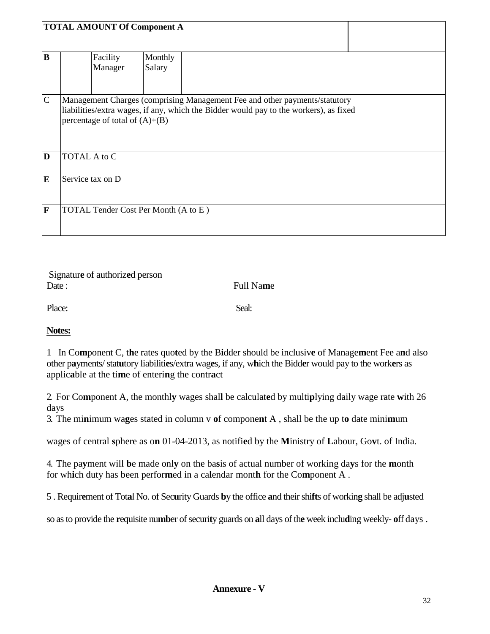|              | <b>TOTAL AMOUNT Of Component A</b>                                                                                                                                                                      |                   |  |  |  |  |  |  |  |
|--------------|---------------------------------------------------------------------------------------------------------------------------------------------------------------------------------------------------------|-------------------|--|--|--|--|--|--|--|
| B            | Facility<br>Manager                                                                                                                                                                                     | Monthly<br>Salary |  |  |  |  |  |  |  |
| $\mathsf{C}$ | Management Charges (comprising Management Fee and other payments/statutory<br>liabilities/extra wages, if any, which the Bidder would pay to the workers), as fixed<br>percentage of total of $(A)+(B)$ |                   |  |  |  |  |  |  |  |
| D            | <b>TOTAL A to C</b>                                                                                                                                                                                     |                   |  |  |  |  |  |  |  |
| E            | Service tax on D                                                                                                                                                                                        |                   |  |  |  |  |  |  |  |
| F            | TOTAL Tender Cost Per Month (A to E)                                                                                                                                                                    |                   |  |  |  |  |  |  |  |

Signatur**e** of authoriz**e**d person Date : Full Na**m**e

Place: Seal: Seal: Seal: Seal: Seal: Seal: Seal: Seal: Seal: Seal: Seal: Seal: Seal: Seal: Seal: Seal: Seal: Seal: Seal: Seal: Seal: Seal: Seal: Seal: Seal: Seal: Seal: Seal: Seal: Seal: Seal: Seal: Seal: Seal: Seal: Seal:

#### **Notes:**

1 In Co**m**ponent C, t**h**e rates quo**t**ed by the B**i**dder should be inclusiv**e** of Manage**m**ent Fee a**n**d also other p**a**yments/ stat**u**tory liabiliti**e**s/extra wag**e**s, if any, w**h**ich the Bidd**e**r would pay to the work**e**rs as applic**a**ble at the ti**m**e of enteri**n**g the contr**a**ct

2. For Co**m**ponent A, the monthl**y** wages shal**l** be calculat**e**d by multi**p**lying daily wage rate **w**ith 26 days

3. The mi**n**imum wa**g**es stated in column v **o**f compone**n**t A , shall be the up t**o** date mini**m**um

wages of central **s**phere as o**n** 01-04-2013, as notifi**e**d by the **M**inistry of **L**abour, Go**v**t. of India.

4. The pa**y**ment will **b**e made onl**y** on the ba**s**is of actual number of working da**y**s for the **m**onth for wh**i**ch duty has been perfor**m**ed in a ca**l**endar mont**h** for the Co**m**ponent A .

5 . Requir**e**ment of Tot**a**l No. of Sec**u**rity Guards **b**y the office **a**nd their shi**ft**s of workin**g** shall be adj**u**sted

so as to provide the **r**equisite nu**mb**er of securi**t**y guards on **a**ll days of th**e** week inclu**d**ing weekly- **o**ff days .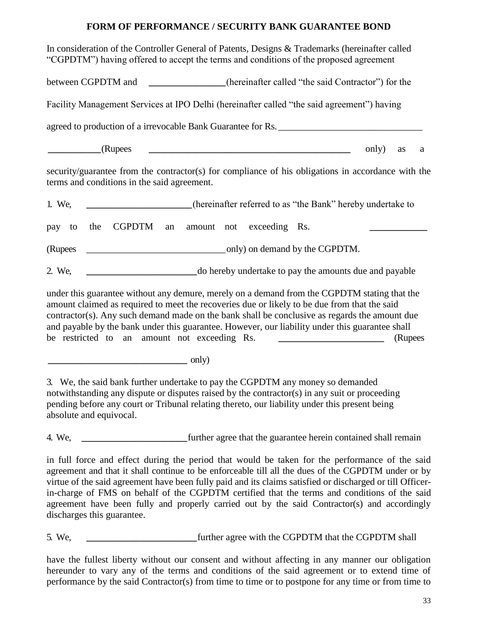## **FORM OF PERFORMANCE / SECURITY BANK GUARANTEE BOND**

In consideration of the Controller General of Patents, Designs & Trademarks (hereinafter called "CGPDTM") having offered to accept the terms and conditions of the proposed agreement

between CGPDTM and **the intervalled "the said Contractor"**) for the

Facility Management Services at IPO Delhi (hereinafter called "the said agreement") having

agreed to production of a irrevocable Bank Guarantee for Rs.

**\_\_\_\_\_\_\_\_\_\_\_**(Rupees **\_\_\_\_\_\_\_\_\_\_\_\_\_\_\_\_\_\_\_\_\_\_\_\_\_\_\_\_\_\_\_\_\_\_\_\_\_\_\_\_\_\_** only) as a

security/guarantee from the contractor(s) for compliance of his obligations in accordance with the terms and conditions in the said agreement.

1. We, **\_\_\_\_\_\_\_\_\_\_\_\_\_\_\_\_\_\_\_\_\_\_**(hereinafter referred to as "the Bank" hereby undertake to

pay to the CGPDTM an amount not exceeding Rs.

(Rupees \_\_\_\_\_\_\_\_\_\_\_\_\_\_\_\_\_\_\_\_\_\_\_\_\_\_\_\_\_only) on demand by the CGPDTM.

2. We, **\_\_\_\_\_\_\_\_\_\_\_\_\_\_\_\_\_\_\_\_\_\_\_**do hereby undertake to pay the amounts due and payable

under this guarantee without any demure, merely on a demand from the CGPDTM stating that the amount claimed as required to meet the recoveries due or likely to be due from that the said contractor(s). Any such demand made on the bank shall be conclusive as regards the amount due and payable by the bank under this guarantee. However, our liability under this guarantee shall be restricted to an amount not exceeding Rs. **\_\_\_\_\_\_\_\_\_\_\_\_\_\_\_\_\_\_\_\_\_\_** (Rupees

**\_\_\_\_\_\_\_\_\_\_\_\_\_\_\_\_\_\_\_\_\_\_\_\_\_\_\_\_\_** only)

3. We, the said bank further undertake to pay the CGPDTM any money so demanded notwithstanding any dispute or disputes raised by the contractor(s) in any suit or proceeding pending before any court or Tribunal relating thereto, our liability under this present being absolute and equivocal.

4. We, **\_\_\_\_\_\_\_\_\_\_\_\_\_\_\_\_\_\_\_\_\_\_**further agree that the guarantee herein contained shall remain

in full force and effect during the period that would be taken for the performance of the said agreement and that it shall continue to be enforceable till all the dues of the CGPDTM under or by virtue of the said agreement have been fully paid and its claims satisfied or discharged or till Officerin-charge of FMS on behalf of the CGPDTM certified that the terms and conditions of the said agreement have been fully and properly carried out by the said Contractor(s) and accordingly discharges this guarantee.

5. We, **\_\_\_\_\_\_\_\_\_\_\_\_\_\_\_\_\_\_\_\_\_\_\_**further agree with the CGPDTM that the CGPDTM shall

have the fullest liberty without our consent and without affecting in any manner our obligation hereunder to vary any of the terms and conditions of the said agreement or to extend time of performance by the said Contractor(s) from time to time or to postpone for any time or from time to